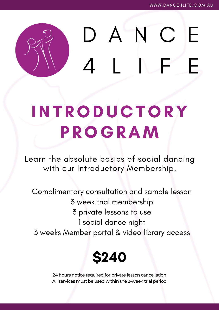# DANC F

# **INT RODU C TORY P ROGRAM**

Learn the absolute basics of social dancing with our Introductory Membership.

Complimentary consultation and sample lesson week trial membership private lessons to use social dance night weeks Member portal & video library access



24 hours notice required for private lesson cancellation All services must be used within the 3-week trial period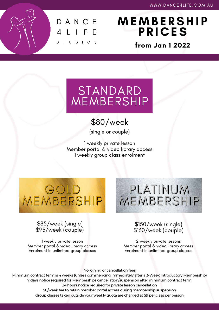

## **MEMB E RSHI P P R I C ES**

**from Jan 1 2022**

# STANDARD<br>MEMBERSHIP

## \$80/week

(single or couple)

1 weekly private lesson Member portal & video library access 1 weekly group class enrolment

MEMBERSHIP

# PLATINUM MEMBERSHIP

### \$85/week (single) \$93/week (couple)

1 weekly private lesson Member portal & video library access Enrolment in unlimited group classes

### \$150/week (single) \$160/week (couple)

2 weekly private lessons Member portal & video library access Enrolment in unlimited group classes

No joining or cancellation fees.

Minimum contract term is 4 weeks (unless commencing immediately after a 3-Week Introductory Membership) 7 days notice required for Memberships cancellation/suspension after minimum contract term 24 hours notice required for private lesson cancellation \$8/week fee to retain member portal access during membership suspension Group classes taken outside your weekly quota are charged at \$9 per class per person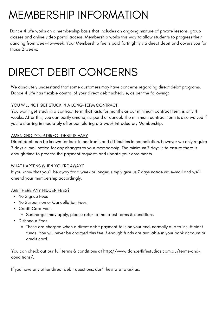## MEMBERSHIP INFORMATION

Dance 4 Life works on a membership basis that includes an ongoing mixture of private lessons, group classes and online video portal access. Membership works this way to allow students to progress their dancing from week-to-week. Your Membership fee is paid fortnightly via direct debit and covers you for those 2 weeks.

## DIRECT DEBIT CONCERNS

We absolutely understand that some customers may have concerns regarding direct debit programs. Dance 4 Life has flexible control of your direct debit schedule, as per the following:

#### YOU WILL NOT GET STUCK IN A LONG-TERM CONTRACT

You won't get stuck in a contract term that lasts for months as our minimum contract term is only 4 weeks. After this, you can easily amend, suspend or cancel. The minimum contract term is also waived if you're starting immediately after completing a 3-week Introductory Membership.

#### AMENDING YOUR DIRECT DEBIT IS EASY

Direct debit can be known for lock-in contracts and difficulties in cancellation, however we only require 7 days e-mail notice for any changes to your membership. The minimum 7 days is to ensure there is enough time to process the payment requests and update your enrolments.

#### WHAT HAPPENS WHEN YOU'RE AWAY?

If you know that you'll be away for a week or longer, simply give us 7 days notice via e-mail and we'll amend your membership accordingly.

#### ARE THERE ANY HIDDEN FEES?

- No Signup Fees
- No Suspension or Cancellation Fees
- Credit Card Fees
	- Surcharges may apply, please refer to the latest terms & conditions
- Dishonour Fees
	- These are charged when a direct debit payment fails on your end, normally due to insufficient funds. You will never be charged this fee if enough funds are available in your bank account or credit card.

You can check out our full terms & conditions at [http://www.dance4lifestudios.com.au/terms-and](http://www.dance4lifestudios.com.au/terms-and-conditions/)[conditions/.](http://www.dance4lifestudios.com.au/terms-and-conditions/)

If you have any other direct debit questions, don't hesitate to ask us.